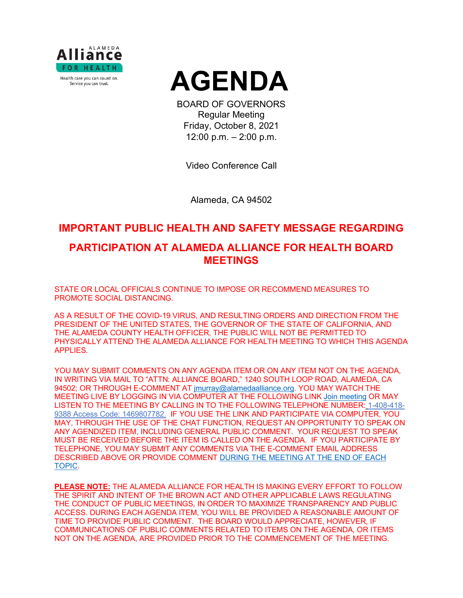



BOARD OF GOVERNORS Regular Meeting Friday, October 8, 2021 12:00 p.m. – 2:00 p.m.

Video Conference Call

Alameda, CA 94502

## **IMPORTANT PUBLIC HEALTH AND SAFETY MESSAGE REGARDING**

# **PARTICIPATION AT ALAMEDA ALLIANCE FOR HEALTH BOARD MEETINGS**

STATE OR LOCAL OFFICIALS CONTINUE TO IMPOSE OR RECOMMEND MEASURES TO PROMOTE SOCIAL DISTANCING.

AS A RESULT OF THE COVID-19 VIRUS, AND RESULTING ORDERS AND DIRECTION FROM THE PRESIDENT OF THE UNITED STATES, THE GOVERNOR OF THE STATE OF CALIFORNIA, AND THE ALAMEDA COUNTY HEALTH OFFICER, THE PUBLIC WILL NOT BE PERMITTED TO PHYSICALLY ATTEND THE ALAMEDA ALLIANCE FOR HEALTH MEETING TO WHICH THIS AGENDA APPLIES.

YOU MAY SUBMIT COMMENTS ON ANY AGENDA ITEM OR ON ANY ITEM NOT ON THE AGENDA, IN WRITING VIA MAIL TO "ATTN: ALLIANCE BOARD," 1240 SOUTH LOOP ROAD, ALAMEDA, CA 94502; OR THROUGH E-COMMENT AT [jmurray@alamedaalliance.org.](mailto:jmurray@alamedaalliance.org) YOU MAY WATCH THE MEETING LIVE BY LOGGING IN VIA COMPUTER AT THE FOLLOWING LINK [Join meeting](https://alamedaalliance.webex.com/alamedaalliance/j.php?MTID=m4fefbe72831c76b47303fd84ed522225) OR MAY LISTEN TO THE MEETING BY CALLING IN TO THE FOLLOWING TELEPHONE NUMBER: 1-408-418- 9388 Access Code: 1469807782. IF YOU USE THE LINK AND PARTICIPATE VIA COMPUTER, YOU MAY, THROUGH THE USE OF THE CHAT FUNCTION, REQUEST AN OPPORTUNITY TO SPEAK ON ANY AGENDIZED ITEM, INCLUDING GENERAL PUBLIC COMMENT. YOUR REQUEST TO SPEAK MUST BE RECEIVED BEFORE THE ITEM IS CALLED ON THE AGENDA. IF YOU PARTICIPATE BY TELEPHONE, YOU MAY SUBMIT ANY COMMENTS VIA THE E-COMMENT EMAIL ADDRESS DESCRIBED ABOVE OR PROVIDE COMMENT DURING THE MEETING AT THE END OF EACH TOPIC.

**PLEASE NOTE:** THE ALAMEDA ALLIANCE FOR HEALTH IS MAKING EVERY EFFORT TO FOLLOW THE SPIRIT AND INTENT OF THE BROWN ACT AND OTHER APPLICABLE LAWS REGULATING THE CONDUCT OF PUBLIC MEETINGS, IN ORDER TO MAXIMIZE TRANSPARENCY AND PUBLIC ACCESS. DURING EACH AGENDA ITEM, YOU WILL BE PROVIDED A REASONABLE AMOUNT OF TIME TO PROVIDE PUBLIC COMMENT. THE BOARD WOULD APPRECIATE, HOWEVER, IF COMMUNICATIONS OF PUBLIC COMMENTS RELATED TO ITEMS ON THE AGENDA, OR ITEMS NOT ON THE AGENDA, ARE PROVIDED PRIOR TO THE COMMENCEMENT OF THE MEETING.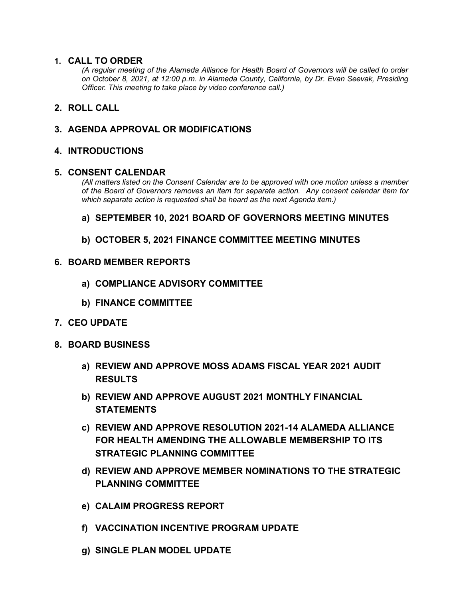### **1. CALL TO ORDER**

*(A regular meeting of the Alameda Alliance for Health Board of Governors will be called to order on October 8, 2021, at 12:00 p.m. in Alameda County, California, by Dr. Evan Seevak, Presiding Officer. This meeting to take place by video conference call.)*

## **2. ROLL CALL**

## **3. AGENDA APPROVAL OR MODIFICATIONS**

### **4. INTRODUCTIONS**

### **5. CONSENT CALENDAR**

*(All matters listed on the Consent Calendar are to be approved with one motion unless a member of the Board of Governors removes an item for separate action. Any consent calendar item for which separate action is requested shall be heard as the next Agenda item.)*

## **a) SEPTEMBER 10, 2021 BOARD OF GOVERNORS MEETING MINUTES**

## **b) OCTOBER 5, 2021 FINANCE COMMITTEE MEETING MINUTES**

### **6. BOARD MEMBER REPORTS**

- **a) COMPLIANCE ADVISORY COMMITTEE**
- **b) FINANCE COMMITTEE**
- **7. CEO UPDATE**
- **8. BOARD BUSINESS**
	- **a) REVIEW AND APPROVE MOSS ADAMS FISCAL YEAR 2021 AUDIT RESULTS**
	- **b) REVIEW AND APPROVE AUGUST 2021 MONTHLY FINANCIAL STATEMENTS**
	- **c) REVIEW AND APPROVE RESOLUTION 2021-14 ALAMEDA ALLIANCE FOR HEALTH AMENDING THE ALLOWABLE MEMBERSHIP TO ITS STRATEGIC PLANNING COMMITTEE**
	- **d) REVIEW AND APPROVE MEMBER NOMINATIONS TO THE STRATEGIC PLANNING COMMITTEE**
	- **e) CALAIM PROGRESS REPORT**
	- **f) VACCINATION INCENTIVE PROGRAM UPDATE**
	- **g) SINGLE PLAN MODEL UPDATE**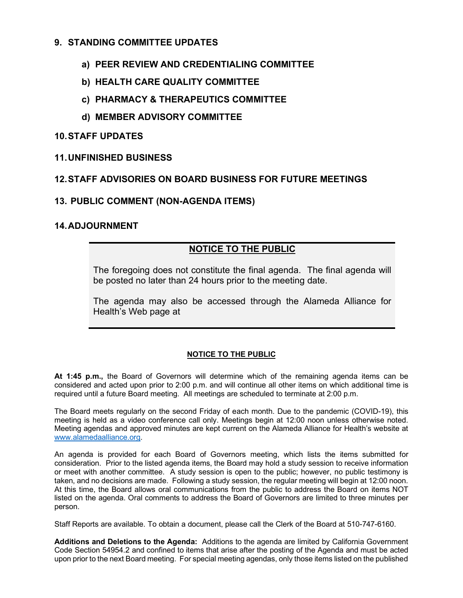## **9. STANDING COMMITTEE UPDATES**

- **a) PEER REVIEW AND CREDENTIALING COMMITTEE**
- **b) HEALTH CARE QUALITY COMMITTEE**
- **c) PHARMACY & THERAPEUTICS COMMITTEE**
- **d) MEMBER ADVISORY COMMITTEE**

### **10.STAFF UPDATES**

### **11.UNFINISHED BUSINESS**

### **12.STAFF ADVISORIES ON BOARD BUSINESS FOR FUTURE MEETINGS**

## **13. PUBLIC COMMENT (NON-AGENDA ITEMS)**

#### **14.ADJOURNMENT**

## **NOTICE TO THE PUBLIC**

The foregoing does not constitute the final agenda. The final agenda will be posted no later than 24 hours prior to the meeting date.

The agenda may also be accessed through the Alameda Alliance for Health's Web page at

#### **NOTICE TO THE PUBLIC**

**At 1:45 p.m.,** the Board of Governors will determine which of the remaining agenda items can be considered and acted upon prior to 2:00 p.m. and will continue all other items on which additional time is required until a future Board meeting. All meetings are scheduled to terminate at 2:00 p.m.

The Board meets regularly on the second Friday of each month. Due to the pandemic (COVID-19), this meeting is held as a video conference call only. Meetings begin at 12:00 noon unless otherwise noted. Meeting agendas and approved minutes are kept current on the Alameda Alliance for Health's website at [www.alamedaalliance.org.](http://www.alamedaalliance.org/)

An agenda is provided for each Board of Governors meeting, which lists the items submitted for consideration. Prior to the listed agenda items, the Board may hold a study session to receive information or meet with another committee. A study session is open to the public; however, no public testimony is taken, and no decisions are made. Following a study session, the regular meeting will begin at 12:00 noon. At this time, the Board allows oral communications from the public to address the Board on items NOT listed on the agenda. Oral comments to address the Board of Governors are limited to three minutes per person.

Staff Reports are available. To obtain a document, please call the Clerk of the Board at 510-747-6160.

**Additions and Deletions to the Agenda:** Additions to the agenda are limited by California Government Code Section 54954.2 and confined to items that arise after the posting of the Agenda and must be acted upon prior to the next Board meeting. For special meeting agendas, only those items listed on the published